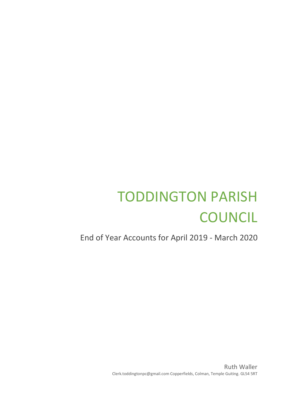## TODDINGTON PARISH **COUNCIL**

End of Year Accounts for April 2019 - March 2020

Ruth Waller Clerk.toddingtonpc@gmail.com Copperfields, Colman, Temple Guiting. GL54 5RT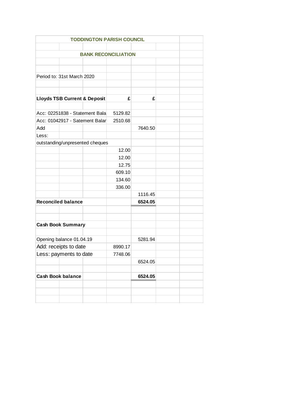|                                         |         | <b>TODDINGTON PARISH COUNCIL</b> |         |  |  |  |  |  |
|-----------------------------------------|---------|----------------------------------|---------|--|--|--|--|--|
|                                         |         |                                  |         |  |  |  |  |  |
| <b>BANK RECONCILIATION</b>              |         |                                  |         |  |  |  |  |  |
|                                         |         |                                  |         |  |  |  |  |  |
|                                         |         |                                  |         |  |  |  |  |  |
| Period to: 31st March 2020              |         |                                  |         |  |  |  |  |  |
|                                         |         |                                  |         |  |  |  |  |  |
|                                         |         |                                  |         |  |  |  |  |  |
| <b>Lloyds TSB Current &amp; Deposit</b> |         | £                                | £       |  |  |  |  |  |
|                                         |         |                                  |         |  |  |  |  |  |
| Acc: 02251838 - Statement Bala          | 5129.82 |                                  |         |  |  |  |  |  |
| Acc: 01042917 - Satement Balar          | 2510.68 |                                  |         |  |  |  |  |  |
| Add                                     |         |                                  | 7640.50 |  |  |  |  |  |
| Less:                                   |         |                                  |         |  |  |  |  |  |
| outstanding/unpresented cheques         |         |                                  |         |  |  |  |  |  |
|                                         |         | 12.00                            |         |  |  |  |  |  |
|                                         |         | 12.00                            |         |  |  |  |  |  |
|                                         |         | 12.75                            |         |  |  |  |  |  |
|                                         |         | 609.10                           |         |  |  |  |  |  |
|                                         |         | 134.60                           |         |  |  |  |  |  |
|                                         |         | 336.00                           |         |  |  |  |  |  |
|                                         |         |                                  | 1116.45 |  |  |  |  |  |
| <b>Reconciled balance</b>               |         |                                  | 6524.05 |  |  |  |  |  |
|                                         |         |                                  |         |  |  |  |  |  |
|                                         |         |                                  |         |  |  |  |  |  |
| <b>Cash Book Summary</b>                |         |                                  |         |  |  |  |  |  |
|                                         |         |                                  |         |  |  |  |  |  |
| Opening balance 01.04.19                |         | 5281.94                          |         |  |  |  |  |  |
| Add: receipts to date                   | 8990.17 |                                  |         |  |  |  |  |  |
| Less: payments to date                  |         | 7748.06                          |         |  |  |  |  |  |
|                                         |         |                                  | 6524.05 |  |  |  |  |  |
|                                         |         |                                  |         |  |  |  |  |  |
| <b>Cash Book balance</b>                |         |                                  | 6524.05 |  |  |  |  |  |
|                                         |         |                                  |         |  |  |  |  |  |
|                                         |         |                                  |         |  |  |  |  |  |
|                                         |         |                                  |         |  |  |  |  |  |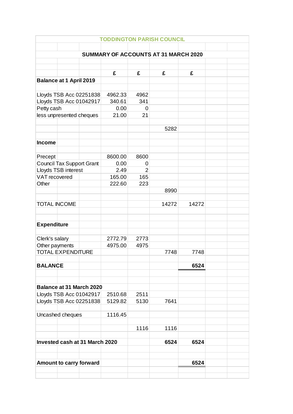| <b>TODDINGTON PARISH COUNCIL</b>                   |  |         |                |       |       |  |  |  |
|----------------------------------------------------|--|---------|----------------|-------|-------|--|--|--|
|                                                    |  |         |                |       |       |  |  |  |
| SUMMARY OF ACCOUNTS AT 31 MARCH 2020               |  |         |                |       |       |  |  |  |
|                                                    |  |         |                |       |       |  |  |  |
|                                                    |  | £       | £              | £     | £     |  |  |  |
| <b>Balance at 1 April 2019</b>                     |  |         |                |       |       |  |  |  |
|                                                    |  |         |                |       |       |  |  |  |
| Lloyds TSB Acc 02251838                            |  | 4962.33 | 4962           |       |       |  |  |  |
| Lloyds TSB Acc 01042917                            |  | 340.61  | 341            |       |       |  |  |  |
| Petty cash                                         |  | 0.00    | 0              |       |       |  |  |  |
| less unpresented cheques                           |  | 21.00   | 21             |       |       |  |  |  |
|                                                    |  |         |                |       |       |  |  |  |
|                                                    |  |         |                | 5282  |       |  |  |  |
| <b>Income</b>                                      |  |         |                |       |       |  |  |  |
|                                                    |  |         |                |       |       |  |  |  |
| Precept                                            |  | 8600.00 | 8600           |       |       |  |  |  |
| <b>Council Tax Support Grant</b>                   |  | 0.00    | 0              |       |       |  |  |  |
| Lloyds TSB interest                                |  | 2.49    | $\overline{2}$ |       |       |  |  |  |
| VAT recovered                                      |  | 165.00  | 165            |       |       |  |  |  |
| Other                                              |  | 222.60  | 223            |       |       |  |  |  |
|                                                    |  |         |                | 8990  |       |  |  |  |
|                                                    |  |         |                |       |       |  |  |  |
| <b>TOTAL INCOME</b>                                |  |         |                | 14272 | 14272 |  |  |  |
|                                                    |  |         |                |       |       |  |  |  |
| <b>Expenditure</b>                                 |  |         |                |       |       |  |  |  |
|                                                    |  |         |                |       |       |  |  |  |
| Clerk's salary                                     |  | 2772.79 | 2773           |       |       |  |  |  |
| Other payments                                     |  | 4975.00 | 4975           |       |       |  |  |  |
| <b>TOTAL EXPENDITURE</b>                           |  |         |                | 7748  | 7748  |  |  |  |
|                                                    |  |         |                |       |       |  |  |  |
| <b>BALANCE</b>                                     |  |         |                |       | 6524  |  |  |  |
|                                                    |  |         |                |       |       |  |  |  |
|                                                    |  |         |                |       |       |  |  |  |
| <b>Balance at 31 March 2020</b>                    |  | 2510.68 | 2511           |       |       |  |  |  |
| Lloyds TSB Acc 01042917<br>Lloyds TSB Acc 02251838 |  | 5129.82 | 5130           | 7641  |       |  |  |  |
|                                                    |  |         |                |       |       |  |  |  |
| Uncashed cheques                                   |  | 1116.45 |                |       |       |  |  |  |
|                                                    |  |         |                |       |       |  |  |  |
|                                                    |  |         | 1116           | 1116  |       |  |  |  |
|                                                    |  |         |                |       |       |  |  |  |
| Invested cash at 31 March 2020                     |  |         |                | 6524  | 6524  |  |  |  |
|                                                    |  |         |                |       |       |  |  |  |
|                                                    |  |         |                |       |       |  |  |  |
| Amount to carry forward                            |  |         |                |       | 6524  |  |  |  |
|                                                    |  |         |                |       |       |  |  |  |